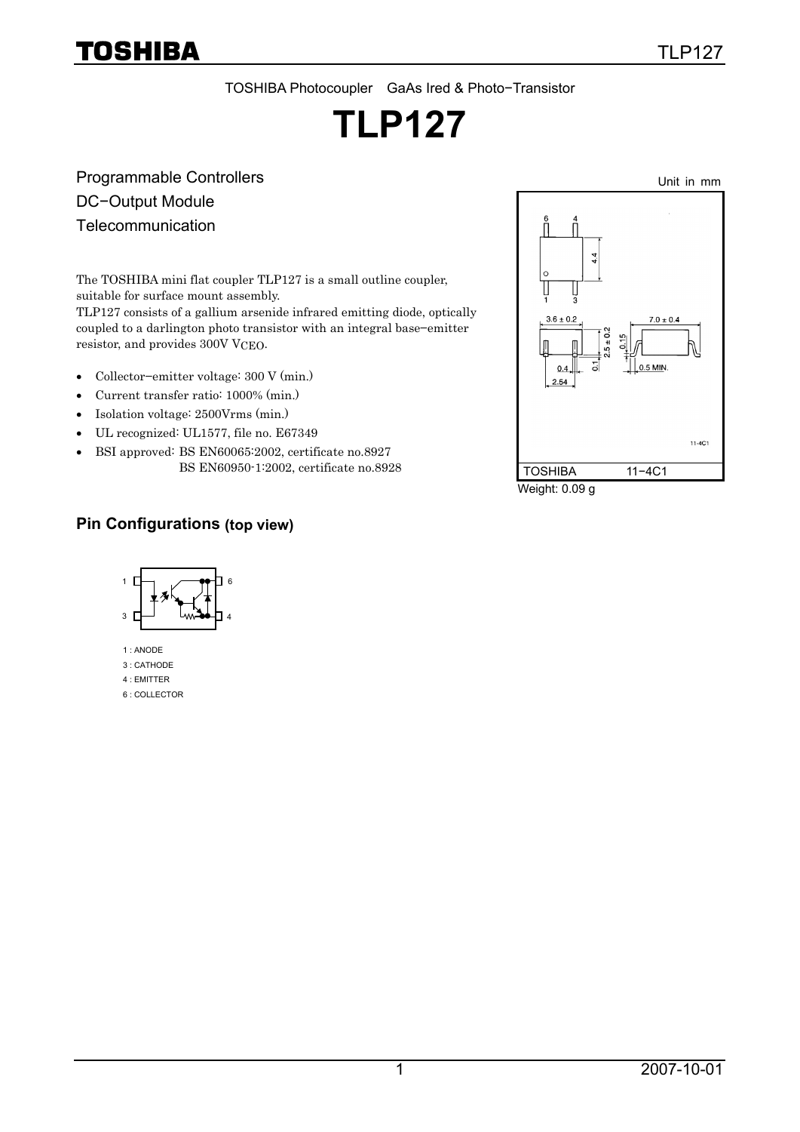TOSHIBA Photocoupler GaAs Ired & Photo−Transistor

# **TLP127**

Programmable Controllers DC-Output Module **Telecommunication** 

The TOSHIBA mini flat coupler TLP127 is a small outline coupler, suitable for surface mount assembly.

TLP127 consists of a gallium arsenide infrared emitting diode, optically coupled to a darlington photo transistor with an integral base−emitter resistor, and provides 300V VCEO.

- Collector−emitter voltage: 300 V (min.)
- Current transfer ratio: 1000% (min.)
- Isolation voltage: 2500Vrms (min.)
- UL recognized: UL1577, file no. E67349
- BSI approved: BS EN60065:2002, certificate no.8927 BS EN60950-1:2002, certificate no.8928



#### **Pin Configurations (top view)**



1 : ANODE

3 : CATHODE

4 : EMITTER

6 : COLLECTOR

Unit in mm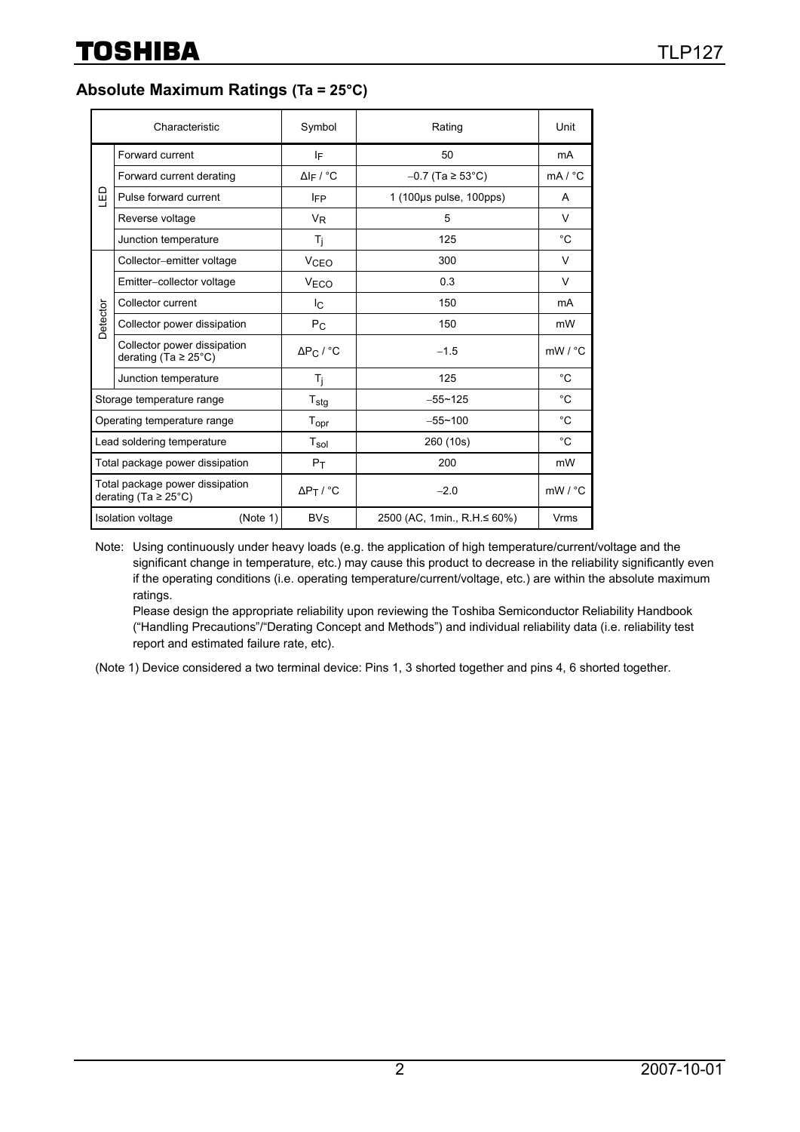**Absolute Maximum Ratings (Ta = 25°C)** 

|                                                              | Characteristic                                           | Symbol                       | Rating                          | Unit               |
|--------------------------------------------------------------|----------------------------------------------------------|------------------------------|---------------------------------|--------------------|
|                                                              | Forward current                                          | ΙF                           | 50                              | mA                 |
| G                                                            | Forward current derating                                 | $\Delta$ I <sub>F</sub> / °C | $-0.7$ (Ta $\geq 53^{\circ}$ C) | mA / °C            |
|                                                              | Pulse forward current                                    | <b>IFP</b>                   | 1 (100µs pulse, 100pps)         | A                  |
|                                                              | Reverse voltage                                          | $V_{R}$                      | 5                               | V                  |
|                                                              | Junction temperature                                     | Tj                           | 125                             | $^{\circ}$ C       |
|                                                              | Collector-emitter voltage                                | <b>V<sub>CEO</sub></b>       | 300                             | $\vee$             |
|                                                              | Emitter-collector voltage                                | V <sub>ECO</sub>             | 0.3                             | $\vee$             |
|                                                              | Collector current                                        | Iс                           | 150                             | mA                 |
| Detector                                                     | Collector power dissipation                              | $P_{C}$                      | 150                             | mW                 |
|                                                              | Collector power dissipation<br>derating (Ta $\geq$ 25°C) | $\Delta P_C$ / $^{\circ}$ C  | $-1.5$                          | mW / °C            |
|                                                              | Junction temperature                                     | T <sub>i</sub>               | 125                             | °C                 |
| Storage temperature range                                    |                                                          | $T_{\text{stg}}$             | $-55 - 125$                     | °C                 |
| Operating temperature range                                  |                                                          | $T_{\text{opr}}$             | $-55 - 100$                     | °C                 |
| Lead soldering temperature                                   |                                                          | $T_{\mathsf{sol}}$           | 260 (10s)                       | °C                 |
| Total package power dissipation                              |                                                          | $P_T$                        | 200                             | mW                 |
| Total package power dissipation<br>derating (Ta $\geq$ 25°C) |                                                          | $\Delta P_T$ / °C            | $-2.0$                          | $mW / {}^{\circ}C$ |
| (Note 1)<br><b>Isolation voltage</b>                         |                                                          | $BV_S$                       | 2500 (AC, 1min., R.H. ≤ 60%)    | Vrms               |

Note: Using continuously under heavy loads (e.g. the application of high temperature/current/voltage and the significant change in temperature, etc.) may cause this product to decrease in the reliability significantly even if the operating conditions (i.e. operating temperature/current/voltage, etc.) are within the absolute maximum ratings.

Please design the appropriate reliability upon reviewing the Toshiba Semiconductor Reliability Handbook ("Handling Precautions"/"Derating Concept and Methods") and individual reliability data (i.e. reliability test report and estimated failure rate, etc).

(Note 1) Device considered a two terminal device: Pins 1, 3 shorted together and pins 4, 6 shorted together.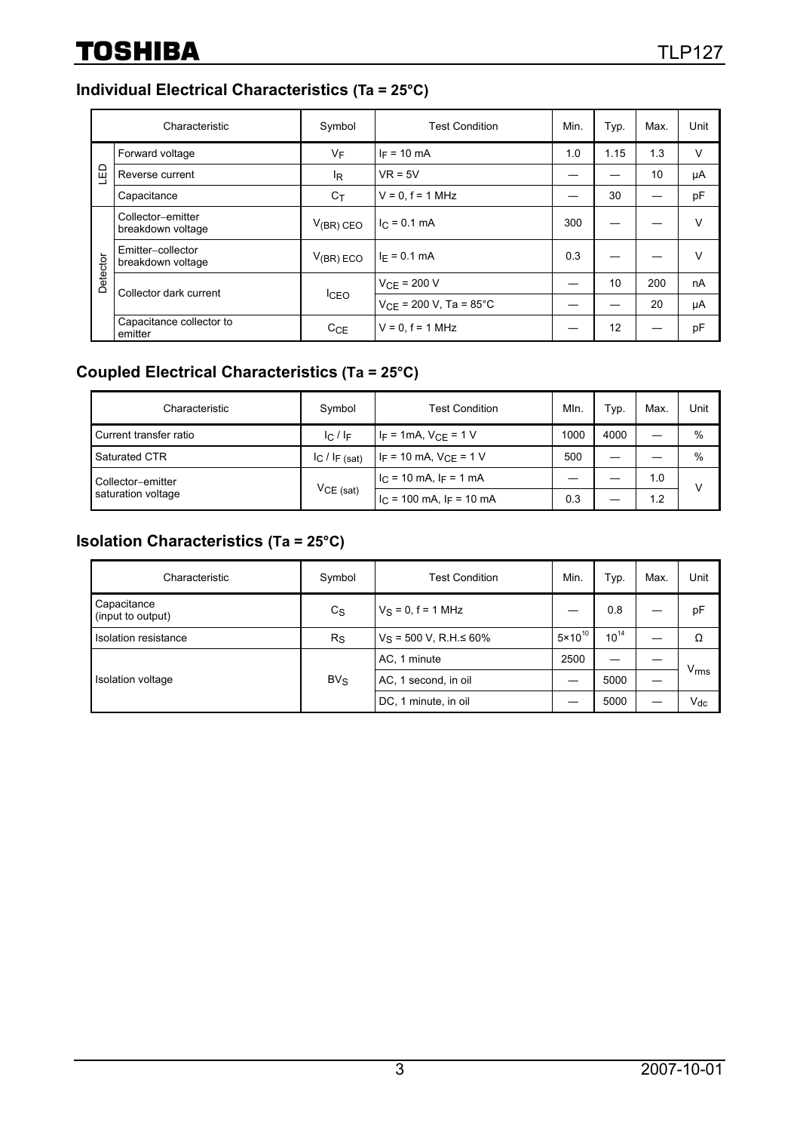### **Individual Electrical Characteristics (Ta = 25°C)**

|          | Characteristic                         | Symbol         | <b>Test Condition</b>       | Min. | Typ. | Max. | Unit   |
|----------|----------------------------------------|----------------|-----------------------------|------|------|------|--------|
| 品        | Forward voltage                        | VF             | $I_F = 10$ mA               | 1.0  | 1.15 | 1.3  | $\vee$ |
|          | Reverse current                        | ΙŖ             | $VR = 5V$                   |      |      | 10   | μA     |
|          | Capacitance                            | $C_T$          | $V = 0$ . $f = 1$ MHz       |      | 30   |      | pF     |
| Detector | Collector-emitter<br>breakdown voltage | $V_{(BR)}$ CEO | $I_C = 0.1$ mA              | 300  |      |      | $\vee$ |
|          | Emitter-collector<br>breakdown voltage | $V_{(BR) ECO}$ | $I_F = 0.1$ mA              | 0.3  |      |      | v      |
|          | Collector dark current<br><b>ICEO</b>  |                | $V_{CF}$ = 200 V            |      | 10   | 200  | nA     |
|          |                                        |                | $V_{CF}$ = 200 V, Ta = 85°C |      |      | 20   | μA     |
|          | Capacitance collector to<br>emitter    | $C_{CE}$       | $V = 0$ , $f = 1$ MHz       |      | 12   |      | pF     |

### **Coupled Electrical Characteristics (Ta = 25°C)**

| Characteristic         | Symbol              | <b>Test Condition</b>         | MIn. | Typ. | Max. | Unit          |
|------------------------|---------------------|-------------------------------|------|------|------|---------------|
| Current transfer ratio | $C/I_F$             | $I_F = 1mA$ , $V_{CF} = 1 V$  | 1000 | 4000 |      | %             |
| <b>Saturated CTR</b>   | $I_C$ / $I_F$ (sat) | $I_F = 10$ mA, $V_{CF} = 1$ V | 500  |      |      | $\frac{0}{0}$ |
| Collector-emitter      |                     | $IC$ = 10 mA, $IF$ = 1 mA     |      |      | 1.0  |               |
| saturation voltage     | $VCE$ (sat)         | $IC$ = 100 mA, $IF$ = 10 mA   | 0.3  |      | 1.2  |               |

### **Isolation Characteristics (Ta = 25°C)**

| Characteristic                   | Symbol      | <b>Test Condition</b>          | Min.               | Typ.      | Max. | Unit             |
|----------------------------------|-------------|--------------------------------|--------------------|-----------|------|------------------|
| Capacitance<br>(input to output) | $c_{\rm S}$ | $V_S = 0$ , f = 1 MHz          |                    | 0.8       |      | pF               |
| Isolation resistance             | $R_{\rm S}$ | $V_S$ = 500 V, R.H. $\leq$ 60% | $5 \times 10^{10}$ | $10^{14}$ |      | Ω                |
|                                  |             | AC, 1 minute                   | 2500               |           |      |                  |
| Isolation voltage                | $BV_S$      | AC, 1 second, in oil           |                    | 5000      |      | $V_{\text{rms}}$ |
|                                  |             | DC, 1 minute, in oil           |                    | 5000      |      | $V_{dc}$         |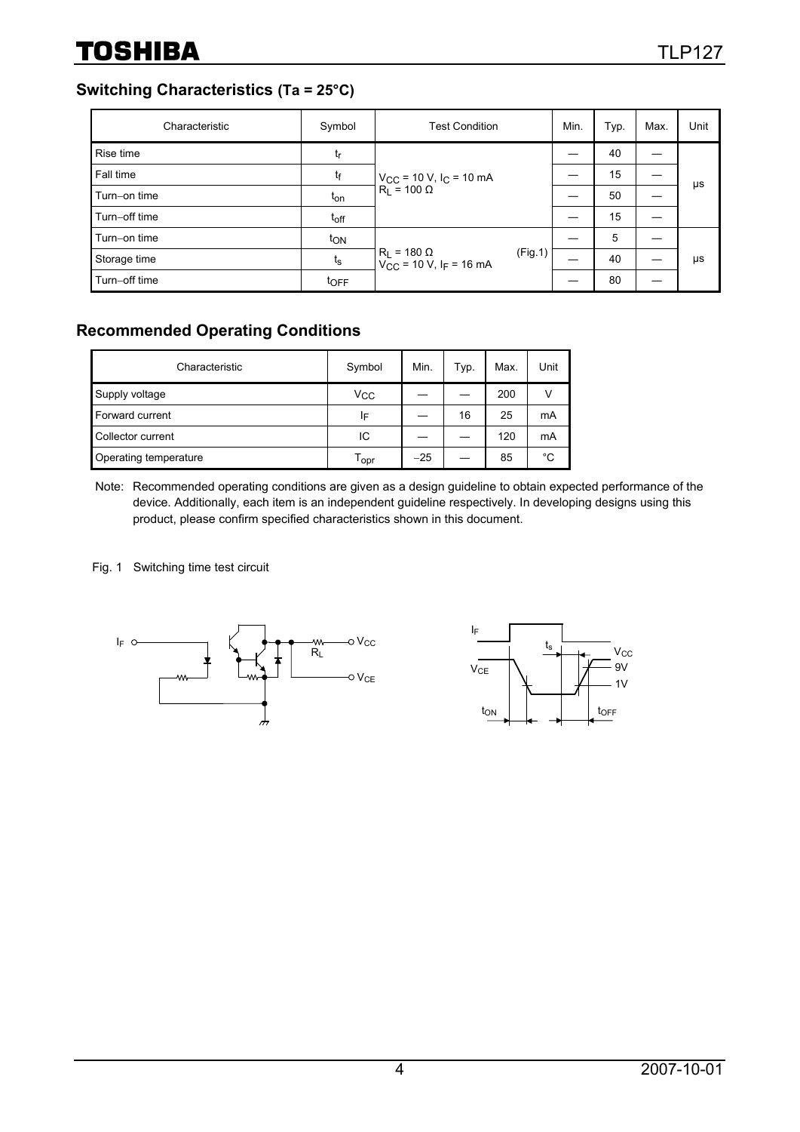**Switching Characteristics (Ta = 25°C)**

| Characteristic | Symbol      | <b>Test Condition</b>                                                      | Min. | Typ. | Max. | Unit |
|----------------|-------------|----------------------------------------------------------------------------|------|------|------|------|
| Rise time      | tr          |                                                                            |      | 40   |      |      |
| Fall time      | tf          | $V_{CC}$ = 10 V, $I_C$ = 10 mA                                             |      | 15   |      | μs   |
| Turn-on time   | $t_{on}$    | $R_L$ = 100 $\Omega$                                                       |      | 50   |      |      |
| Turn-off time  | $t_{off}$   |                                                                            |      | 15   |      |      |
| Turn-on time   | ton         |                                                                            |      | 5    |      |      |
| Storage time   | $t_{\tt S}$ | $R_L$ = 180 Ω<br>V <sub>CC</sub> = 10 V, I <sub>F</sub> = 16 mA<br>(Fig.1) |      | 40   |      | μs   |
| Turn-off time  | toFF        |                                                                            |      | 80   |      |      |

#### **Recommended Operating Conditions**

| Characteristic        | Symbol                      | Min.  | Typ. | Max. | Unit |
|-----------------------|-----------------------------|-------|------|------|------|
| Supply voltage        | $V_{\rm CC}$                |       |      | 200  | v    |
| Forward current       | ΙF                          |       | 16   | 25   | mA   |
| Collector current     | IС                          |       |      | 120  | mA   |
| Operating temperature | $\mathsf{T}_{\mathsf{opr}}$ | $-25$ |      | 85   | °C   |

Note: Recommended operating conditions are given as a design guideline to obtain expected performance of the device. Additionally, each item is an independent guideline respectively. In developing designs using this product, please confirm specified characteristics shown in this document.

Fig. 1 Switching time test circuit



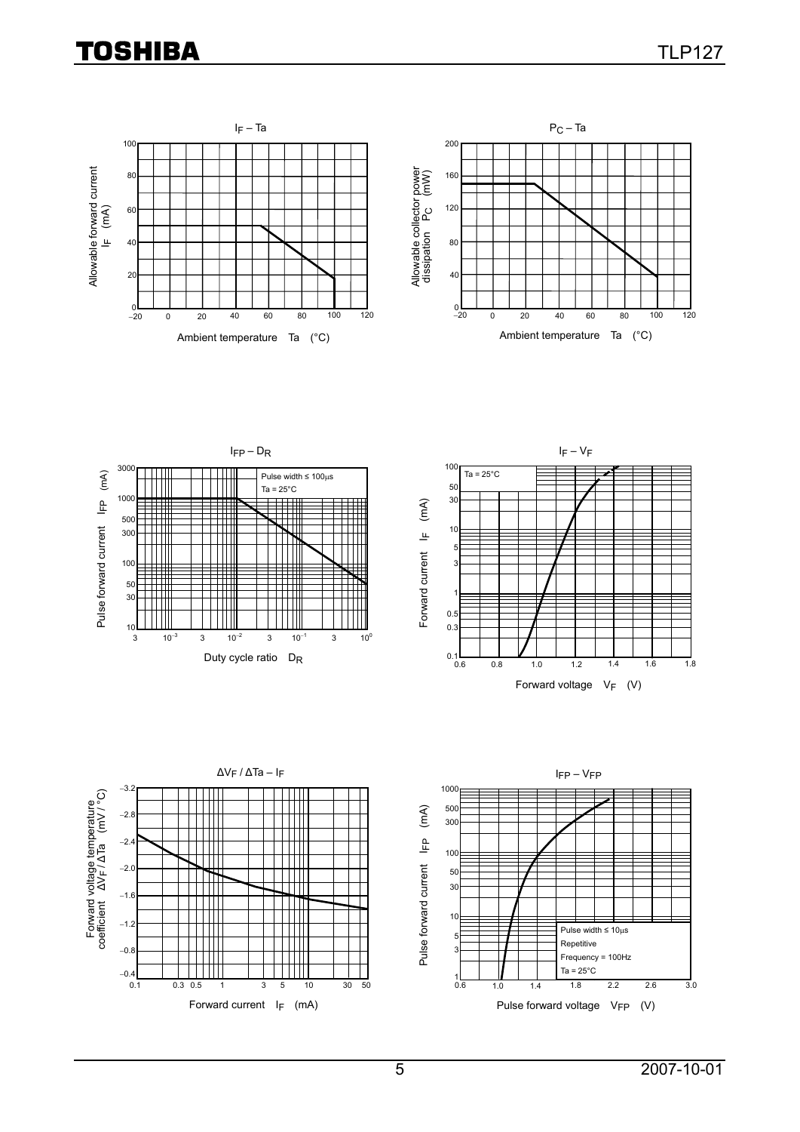









 IFP – VFP 1000 500  $(mA)$ Pulse forward current IFP (mA) 300  $E$ 100 Pulse forward current 50 30 10 Pulse width ≤ 10μs 5 Repetitive 3 Frequency = 100Hz Ta =  $25^{\circ}$ C  $\frac{1}{0.6}$ 1.0 1.4 1.8 2.2 2.6 3.0 Pulse forward voltage VFP (V)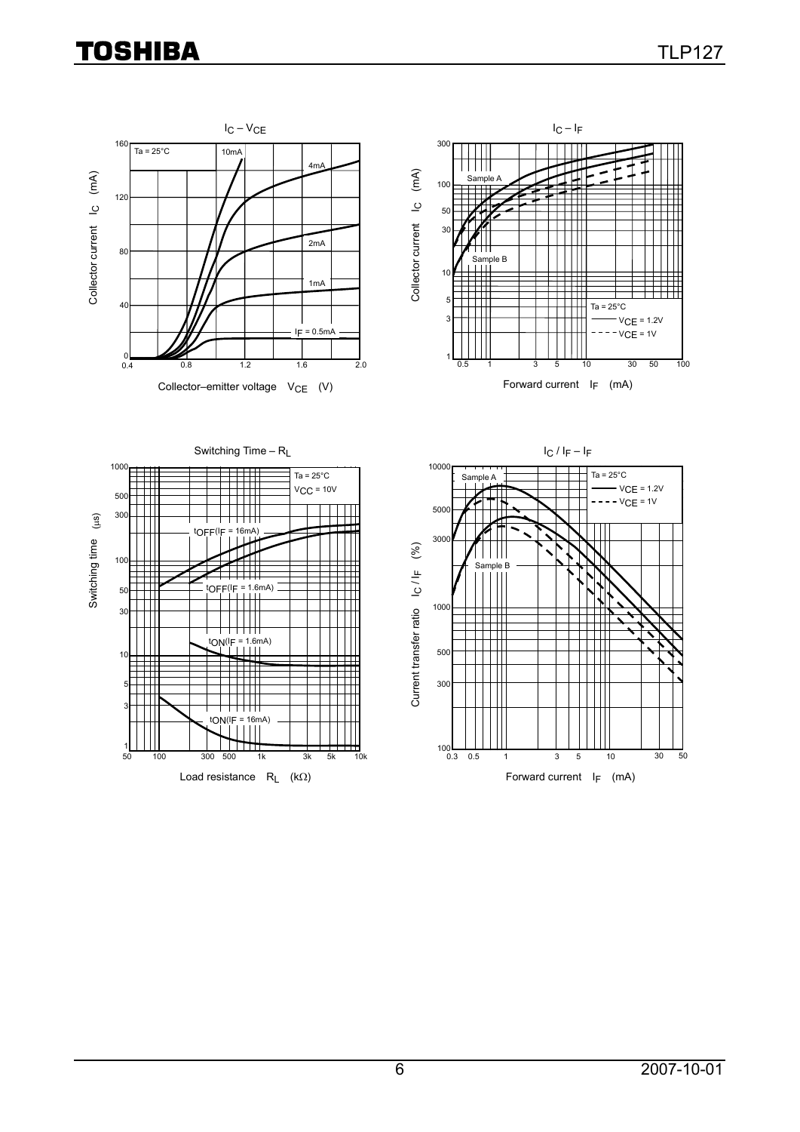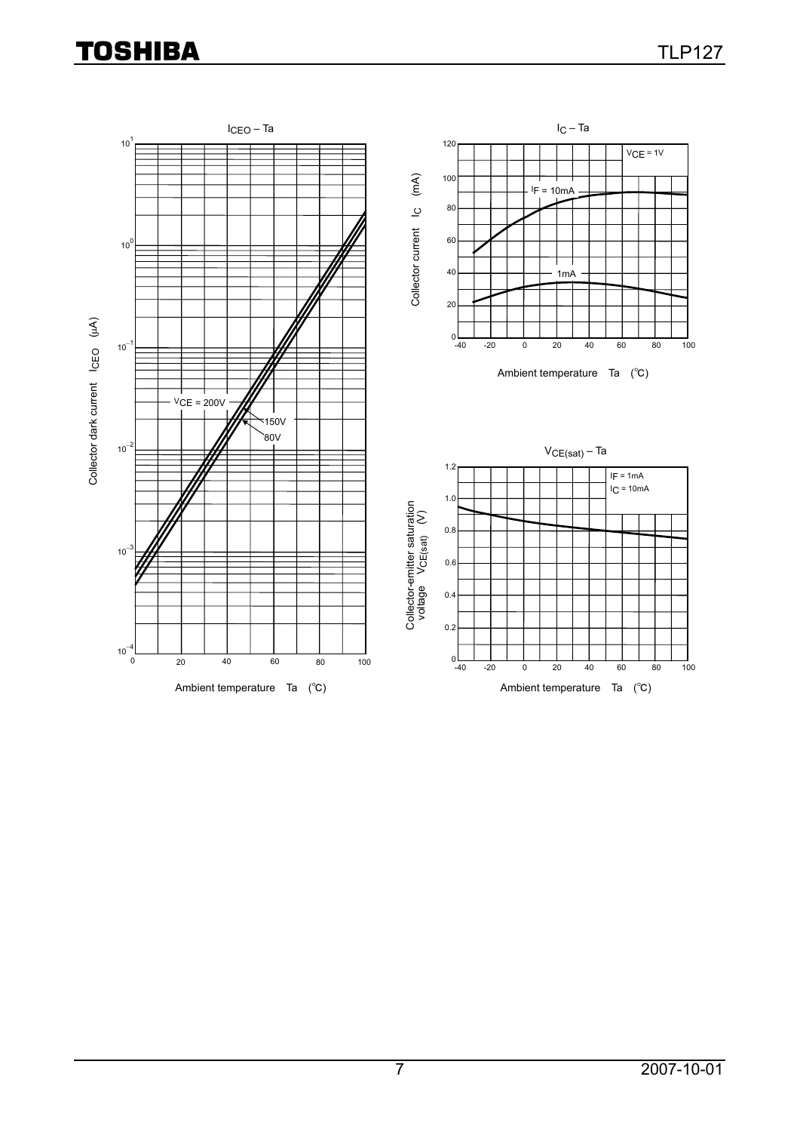